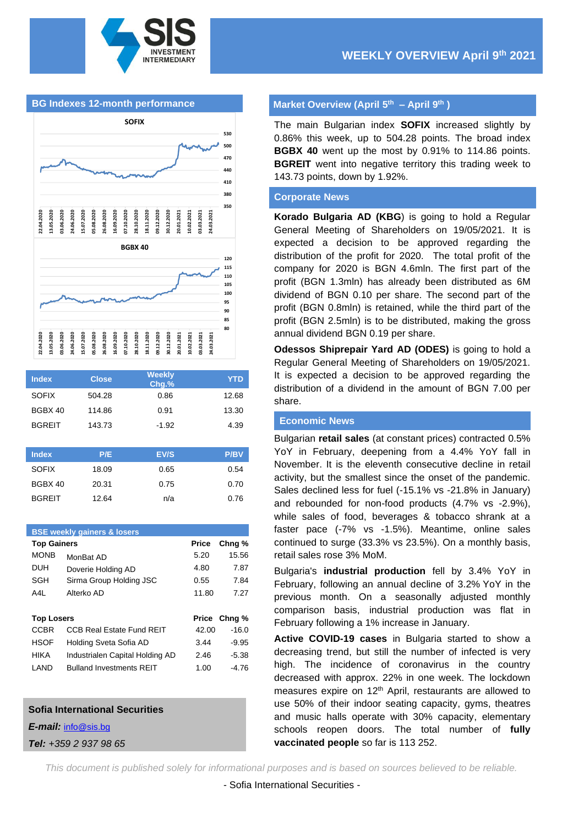

**BG Indexes 12-month performance**



| <b>Index</b>  | <b>Close</b> | <b>Weekly</b><br>Chg.% | <b>YTD</b>  |
|---------------|--------------|------------------------|-------------|
| <b>SOFIX</b>  | 504.28       | 0.86                   | 12.68       |
| BGBX 40       | 114.86       | 0.91                   | 13.30       |
| <b>BGREIT</b> | 143.73       | $-1.92$                | 4.39        |
|               |              |                        |             |
| <b>Index</b>  | P/E          | EV/S                   | <b>P/BV</b> |
| <b>SOFIX</b>  | 18.09        | 0.65                   | 0.54        |
| BGBX 40       | 20.31        | 0.75                   | 0.70        |
| <b>BGREIT</b> | 12.64        | n/a                    | 0.76        |

| <b>BSE weekly gainers &amp; losers</b> |                                  |       |                   |  |  |  |
|----------------------------------------|----------------------------------|-------|-------------------|--|--|--|
| <b>Top Gainers</b>                     |                                  | Price | Chng <sub>%</sub> |  |  |  |
| <b>MONB</b>                            | MonBat AD                        | 5.20  | 15.56             |  |  |  |
| <b>DUH</b>                             | Doverie Holding AD               | 4.80  | 7.87              |  |  |  |
| SGH                                    | Sirma Group Holding JSC          | 0.55  | 7.84              |  |  |  |
| A4L                                    | Alterko AD                       | 11.80 | 7.27              |  |  |  |
|                                        |                                  |       |                   |  |  |  |
| <b>Top Losers</b>                      |                                  | Price | Chng %            |  |  |  |
| <b>CCBR</b>                            | <b>CCB Real Estate Fund REIT</b> | 42.00 | $-16.0$           |  |  |  |
| <b>HSOF</b>                            | Holding Sveta Sofia AD           | 3.44  | $-9.95$           |  |  |  |
| HIKA                                   | Industrialen Capital Holding AD  | 2.46  | $-5.38$           |  |  |  |
| LAND                                   |                                  |       | -4.76             |  |  |  |
|                                        | <b>Bulland Investments REIT</b>  | 1.00  |                   |  |  |  |

#### **Sofia International Securities**

*E-mail:* [info@sis.bg](mailto:info@sis.bg)

*Tel: +359 2 937 98 65*

### **Market Overview (April 5 th – April 9 th )**

The main Bulgarian index **SOFIX** increased slightly by 0.86% this week, up to 504.28 points. The broad index **BGBX 40** went up the most by 0.91% to 114.86 points. **BGREIT** went into negative territory this trading week to 143.73 points, down by 1.92%.

#### **Corporate News**

**Korado Bulgaria AD (KBG**) is going to hold a Regular General Meeting of Shareholders on 19/05/2021. It is expected a decision to be approved regarding the distribution of the profit for 2020. The total profit of the company for 2020 is BGN 4.6mln. The first part of the profit (BGN 1.3mln) has already been distributed as 6M dividend of BGN 0.10 per share. The second part of the profit (BGN 0.8mln) is retained, while the third part of the profit (BGN 2.5mln) is to be distributed, making the gross annual dividend BGN 0.19 per share.

**Odessos Shiprepair Yard AD (ODES)** is going to hold a Regular General Meeting of Shareholders on 19/05/2021. It is expected a decision to be approved regarding the distribution of a dividend in the amount of BGN 7.00 per share.

### **Economic News**

Bulgarian **retail sales** (at constant prices) contracted 0.5% YoY in February, deepening from a 4.4% YoY fall in November. It is the eleventh consecutive decline in retail activity, but the smallest since the onset of the pandemic. Sales declined less for fuel (-15.1% vs -21.8% in January) and rebounded for non-food products (4.7% vs -2.9%), while sales of food, beverages & tobacco shrank at a faster pace (-7% vs -1.5%). Meantime, online sales continued to surge (33.3% vs 23.5%). On a monthly basis, retail sales rose 3% MoM.

Bulgaria's **industrial production** fell by 3.4% YoY in February, following an annual decline of 3.2% YoY in the previous month. On a seasonally adjusted monthly comparison basis, industrial production was flat in February following a 1% increase in January.

**Active COVID-19 cases** in Bulgaria started to show a decreasing trend, but still the number of infected is very high. The incidence of coronavirus in the country decreased with approx. 22% in one week. The lockdown measures expire on 12<sup>th</sup> April, restaurants are allowed to use 50% of their indoor seating capacity, gyms, theatres and music halls operate with 30% capacity, elementary schools reopen doors. The total number of **fully vaccinated people** so far is 113 252.

*This document is published solely for informational purposes and is based on sources believed to be reliable.*